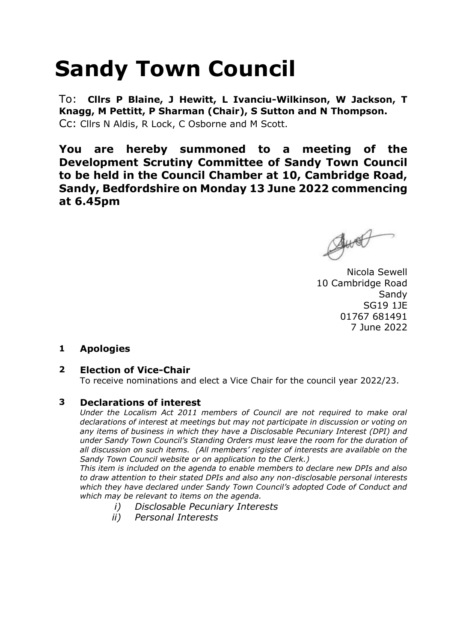# **Sandy Town Council**

To: **Cllrs P Blaine, J Hewitt, L Ivanciu-Wilkinson, W Jackson, T Knagg, M Pettitt, P Sharman (Chair), S Sutton and N Thompson.**  Cc: Cllrs N Aldis, R Lock, C Osborne and M Scott.

**You are hereby summoned to a meeting of the Development Scrutiny Committee of Sandy Town Council to be held in the Council Chamber at 10, Cambridge Road, Sandy, Bedfordshire on Monday 13 June 2022 commencing at 6.45pm**

Just

Nicola Sewell 10 Cambridge Road **Sandy** SG19 1JE 01767 681491 7 June 2022

## **1 Apologies**

## **2 Election of Vice-Chair**

To receive nominations and elect a Vice Chair for the council year 2022/23.

### **3 Declarations of interest**

*Under the Localism Act 2011 members of Council are not required to make oral declarations of interest at meetings but may not participate in discussion or voting on any items of business in which they have a Disclosable Pecuniary Interest (DPI) and under Sandy Town Council's Standing Orders must leave the room for the duration of all discussion on such items. (All members' register of interests are available on the Sandy Town Council website or on application to the Clerk.)* 

*This item is included on the agenda to enable members to declare new DPIs and also to draw attention to their stated DPIs and also any non-disclosable personal interests which they have declared under Sandy Town Council's adopted Code of Conduct and which may be relevant to items on the agenda.* 

- *i) Disclosable Pecuniary Interests*
- *ii) Personal Interests*